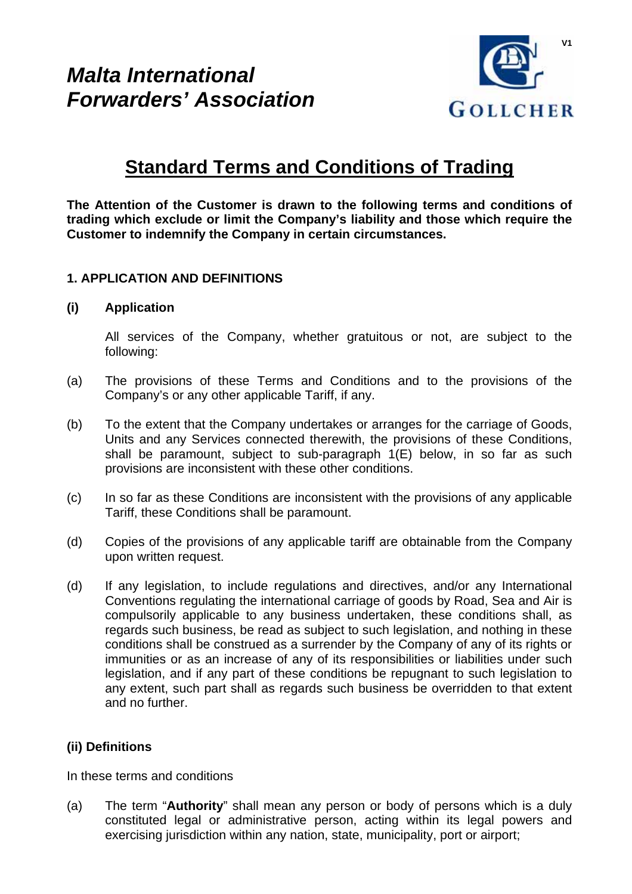# *Malta International Forwarders' Association*



# **Standard Terms and Conditions of Trading**

**The Attention of the Customer is drawn to the following terms and conditions of trading which exclude or limit the Company's liability and those which require the Customer to indemnify the Company in certain circumstances.** 

## **1. APPLICATION AND DEFINITIONS**

#### **(i) Application**

All services of the Company, whether gratuitous or not, are subject to the following:

- (a) The provisions of these Terms and Conditions and to the provisions of the Company's or any other applicable Tariff, if any.
- (b) To the extent that the Company undertakes or arranges for the carriage of Goods, Units and any Services connected therewith, the provisions of these Conditions, shall be paramount, subject to sub-paragraph 1(E) below, in so far as such provisions are inconsistent with these other conditions.
- (c) In so far as these Conditions are inconsistent with the provisions of any applicable Tariff, these Conditions shall be paramount.
- (d) Copies of the provisions of any applicable tariff are obtainable from the Company upon written request.
- (d) If any legislation, to include regulations and directives, and/or any International Conventions regulating the international carriage of goods by Road, Sea and Air is compulsorily applicable to any business undertaken, these conditions shall, as regards such business, be read as subject to such legislation, and nothing in these conditions shall be construed as a surrender by the Company of any of its rights or immunities or as an increase of any of its responsibilities or liabilities under such legislation, and if any part of these conditions be repugnant to such legislation to any extent, such part shall as regards such business be overridden to that extent and no further.

### **(ii) Definitions**

In these terms and conditions

(a) The term "**Authority**" shall mean any person or body of persons which is a duly constituted legal or administrative person, acting within its legal powers and exercising jurisdiction within any nation, state, municipality, port or airport;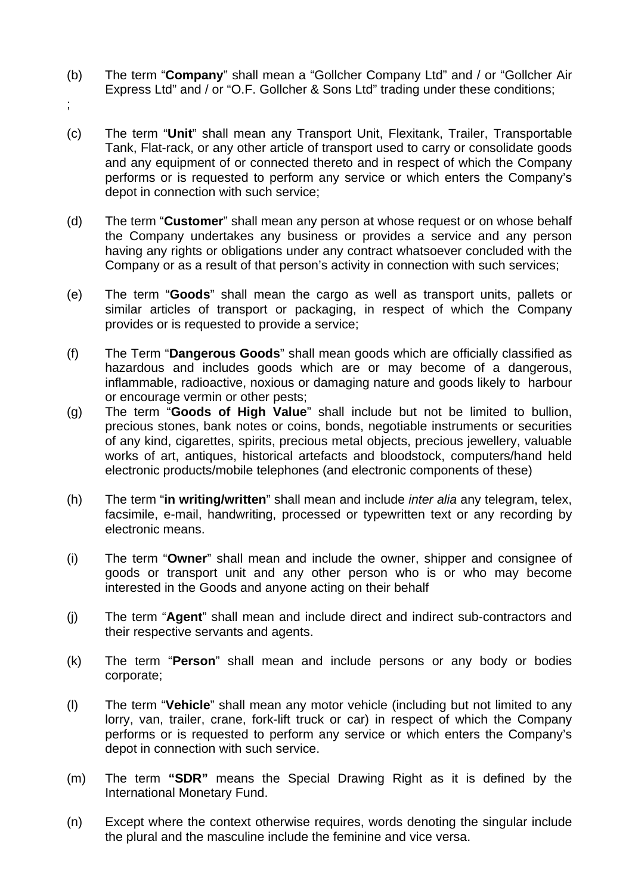- (b) The term "**Company**" shall mean a "Gollcher Company Ltd" and / or "Gollcher Air Express Ltd" and / or "O.F. Gollcher & Sons Ltd" trading under these conditions;
- ;
- (c) The term "**Unit**" shall mean any Transport Unit, Flexitank, Trailer, Transportable Tank, Flat-rack, or any other article of transport used to carry or consolidate goods and any equipment of or connected thereto and in respect of which the Company performs or is requested to perform any service or which enters the Company's depot in connection with such service;
- (d) The term "**Customer**" shall mean any person at whose request or on whose behalf the Company undertakes any business or provides a service and any person having any rights or obligations under any contract whatsoever concluded with the Company or as a result of that person's activity in connection with such services;
- (e) The term "**Goods**" shall mean the cargo as well as transport units, pallets or similar articles of transport or packaging, in respect of which the Company provides or is requested to provide a service;
- (f) The Term "**Dangerous Goods**" shall mean goods which are officially classified as hazardous and includes goods which are or may become of a dangerous, inflammable, radioactive, noxious or damaging nature and goods likely to harbour or encourage vermin or other pests;
- (g) The term "**Goods of High Value**" shall include but not be limited to bullion, precious stones, bank notes or coins, bonds, negotiable instruments or securities of any kind, cigarettes, spirits, precious metal objects, precious jewellery, valuable works of art, antiques, historical artefacts and bloodstock, computers/hand held electronic products/mobile telephones (and electronic components of these)
- (h) The term "**in writing/written**" shall mean and include *inter alia* any telegram, telex, facsimile, e-mail, handwriting, processed or typewritten text or any recording by electronic means.
- (i) The term "**Owner**" shall mean and include the owner, shipper and consignee of goods or transport unit and any other person who is or who may become interested in the Goods and anyone acting on their behalf
- (j) The term "**Agent**" shall mean and include direct and indirect sub-contractors and their respective servants and agents.
- (k) The term "**Person**" shall mean and include persons or any body or bodies corporate;
- (l) The term "**Vehicle**" shall mean any motor vehicle (including but not limited to any lorry, van, trailer, crane, fork-lift truck or car) in respect of which the Company performs or is requested to perform any service or which enters the Company's depot in connection with such service.
- (m) The term **"SDR"** means the Special Drawing Right as it is defined by the International Monetary Fund.
- (n) Except where the context otherwise requires, words denoting the singular include the plural and the masculine include the feminine and vice versa.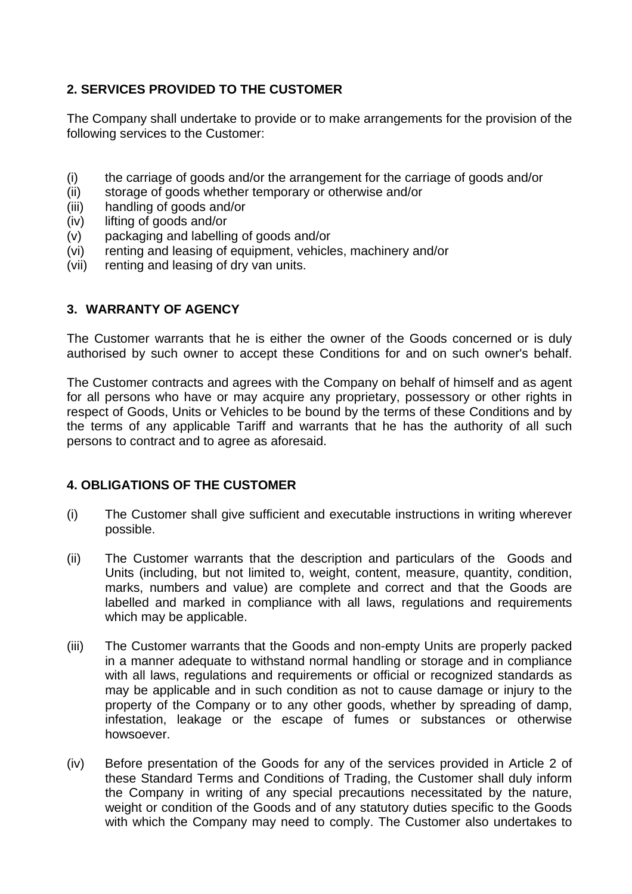# **2. SERVICES PROVIDED TO THE CUSTOMER**

The Company shall undertake to provide or to make arrangements for the provision of the following services to the Customer:

- (i) the carriage of goods and/or the arrangement for the carriage of goods and/or
- (ii) storage of goods whether temporary or otherwise and/or
- (iii) handling of goods and/or
- (iv) lifting of goods and/or
- (v) packaging and labelling of goods and/or
- (vi) renting and leasing of equipment, vehicles, machinery and/or
- (vii) renting and leasing of dry van units.

# **3. WARRANTY OF AGENCY**

The Customer warrants that he is either the owner of the Goods concerned or is duly authorised by such owner to accept these Conditions for and on such owner's behalf.

The Customer contracts and agrees with the Company on behalf of himself and as agent for all persons who have or may acquire any proprietary, possessory or other rights in respect of Goods, Units or Vehicles to be bound by the terms of these Conditions and by the terms of any applicable Tariff and warrants that he has the authority of all such persons to contract and to agree as aforesaid.

## **4. OBLIGATIONS OF THE CUSTOMER**

- (i) The Customer shall give sufficient and executable instructions in writing wherever possible.
- (ii) The Customer warrants that the description and particulars of the Goods and Units (including, but not limited to, weight, content, measure, quantity, condition, marks, numbers and value) are complete and correct and that the Goods are labelled and marked in compliance with all laws, regulations and requirements which may be applicable.
- (iii) The Customer warrants that the Goods and non-empty Units are properly packed in a manner adequate to withstand normal handling or storage and in compliance with all laws, regulations and requirements or official or recognized standards as may be applicable and in such condition as not to cause damage or injury to the property of the Company or to any other goods, whether by spreading of damp, infestation, leakage or the escape of fumes or substances or otherwise howsoever.
- (iv) Before presentation of the Goods for any of the services provided in Article 2 of these Standard Terms and Conditions of Trading, the Customer shall duly inform the Company in writing of any special precautions necessitated by the nature, weight or condition of the Goods and of any statutory duties specific to the Goods with which the Company may need to comply. The Customer also undertakes to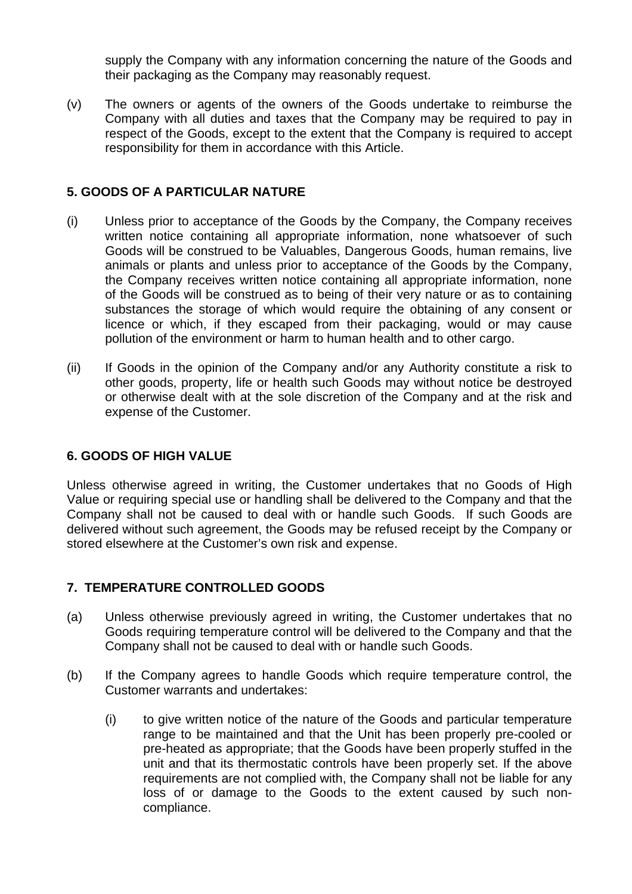supply the Company with any information concerning the nature of the Goods and their packaging as the Company may reasonably request.

(v) The owners or agents of the owners of the Goods undertake to reimburse the Company with all duties and taxes that the Company may be required to pay in respect of the Goods, except to the extent that the Company is required to accept responsibility for them in accordance with this Article.

## **5. GOODS OF A PARTICULAR NATURE**

- (i) Unless prior to acceptance of the Goods by the Company, the Company receives written notice containing all appropriate information, none whatsoever of such Goods will be construed to be Valuables, Dangerous Goods, human remains, live animals or plants and unless prior to acceptance of the Goods by the Company, the Company receives written notice containing all appropriate information, none of the Goods will be construed as to being of their very nature or as to containing substances the storage of which would require the obtaining of any consent or licence or which, if they escaped from their packaging, would or may cause pollution of the environment or harm to human health and to other cargo.
- (ii) If Goods in the opinion of the Company and/or any Authority constitute a risk to other goods, property, life or health such Goods may without notice be destroyed or otherwise dealt with at the sole discretion of the Company and at the risk and expense of the Customer.

## **6. GOODS OF HIGH VALUE**

Unless otherwise agreed in writing, the Customer undertakes that no Goods of High Value or requiring special use or handling shall be delivered to the Company and that the Company shall not be caused to deal with or handle such Goods. If such Goods are delivered without such agreement, the Goods may be refused receipt by the Company or stored elsewhere at the Customer's own risk and expense.

## **7. TEMPERATURE CONTROLLED GOODS**

- (a) Unless otherwise previously agreed in writing, the Customer undertakes that no Goods requiring temperature control will be delivered to the Company and that the Company shall not be caused to deal with or handle such Goods.
- (b) If the Company agrees to handle Goods which require temperature control, the Customer warrants and undertakes:
	- (i) to give written notice of the nature of the Goods and particular temperature range to be maintained and that the Unit has been properly pre-cooled or pre-heated as appropriate; that the Goods have been properly stuffed in the unit and that its thermostatic controls have been properly set. If the above requirements are not complied with, the Company shall not be liable for any loss of or damage to the Goods to the extent caused by such noncompliance.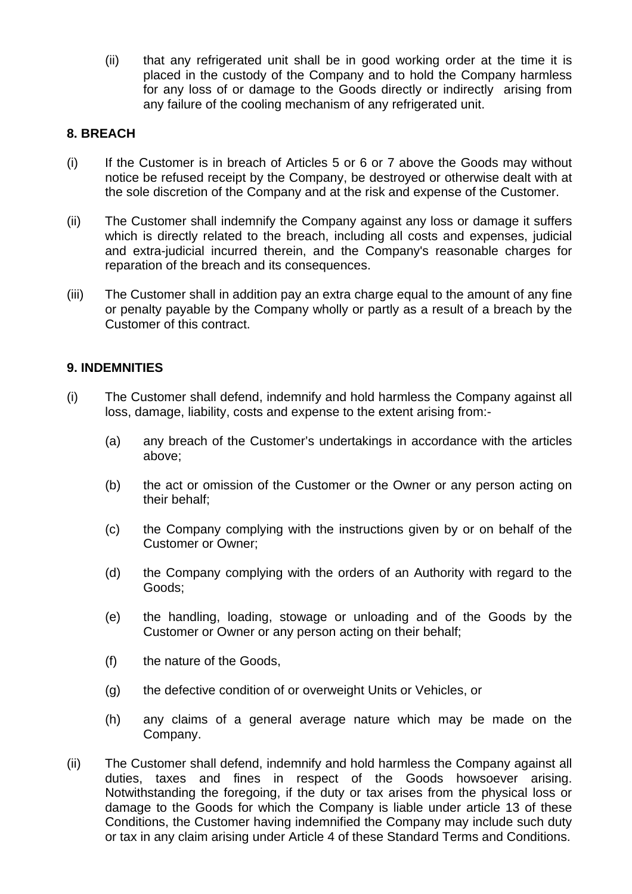(ii) that any refrigerated unit shall be in good working order at the time it is placed in the custody of the Company and to hold the Company harmless for any loss of or damage to the Goods directly or indirectly arising from any failure of the cooling mechanism of any refrigerated unit.

## **8. BREACH**

- $(i)$  If the Customer is in breach of Articles 5 or 6 or 7 above the Goods may without notice be refused receipt by the Company, be destroyed or otherwise dealt with at the sole discretion of the Company and at the risk and expense of the Customer.
- (ii) The Customer shall indemnify the Company against any loss or damage it suffers which is directly related to the breach, including all costs and expenses, judicial and extra-judicial incurred therein, and the Company's reasonable charges for reparation of the breach and its consequences.
- (iii) The Customer shall in addition pay an extra charge equal to the amount of any fine or penalty payable by the Company wholly or partly as a result of a breach by the Customer of this contract.

## **9. INDEMNITIES**

- (i) The Customer shall defend, indemnify and hold harmless the Company against all loss, damage, liability, costs and expense to the extent arising from:-
	- (a) any breach of the Customer's undertakings in accordance with the articles above;
	- (b) the act or omission of the Customer or the Owner or any person acting on their behalf;
	- (c) the Company complying with the instructions given by or on behalf of the Customer or Owner;
	- (d) the Company complying with the orders of an Authority with regard to the Goods;
	- (e) the handling, loading, stowage or unloading and of the Goods by the Customer or Owner or any person acting on their behalf;
	- (f) the nature of the Goods,
	- (g) the defective condition of or overweight Units or Vehicles, or
	- (h) any claims of a general average nature which may be made on the Company.
- (ii) The Customer shall defend, indemnify and hold harmless the Company against all duties, taxes and fines in respect of the Goods howsoever arising. Notwithstanding the foregoing, if the duty or tax arises from the physical loss or damage to the Goods for which the Company is liable under article 13 of these Conditions, the Customer having indemnified the Company may include such duty or tax in any claim arising under Article 4 of these Standard Terms and Conditions.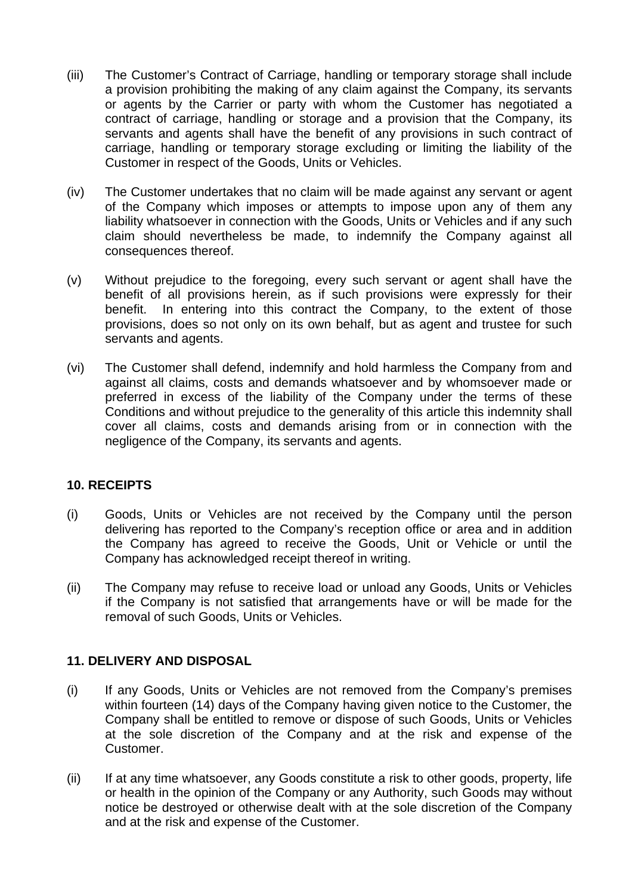- (iii) The Customer's Contract of Carriage, handling or temporary storage shall include a provision prohibiting the making of any claim against the Company, its servants or agents by the Carrier or party with whom the Customer has negotiated a contract of carriage, handling or storage and a provision that the Company, its servants and agents shall have the benefit of any provisions in such contract of carriage, handling or temporary storage excluding or limiting the liability of the Customer in respect of the Goods, Units or Vehicles.
- (iv) The Customer undertakes that no claim will be made against any servant or agent of the Company which imposes or attempts to impose upon any of them any liability whatsoever in connection with the Goods, Units or Vehicles and if any such claim should nevertheless be made, to indemnify the Company against all consequences thereof.
- (v) Without prejudice to the foregoing, every such servant or agent shall have the benefit of all provisions herein, as if such provisions were expressly for their benefit. In entering into this contract the Company, to the extent of those provisions, does so not only on its own behalf, but as agent and trustee for such servants and agents.
- (vi) The Customer shall defend, indemnify and hold harmless the Company from and against all claims, costs and demands whatsoever and by whomsoever made or preferred in excess of the liability of the Company under the terms of these Conditions and without prejudice to the generality of this article this indemnity shall cover all claims, costs and demands arising from or in connection with the negligence of the Company, its servants and agents.

## **10. RECEIPTS**

- (i) Goods, Units or Vehicles are not received by the Company until the person delivering has reported to the Company's reception office or area and in addition the Company has agreed to receive the Goods, Unit or Vehicle or until the Company has acknowledged receipt thereof in writing.
- (ii) The Company may refuse to receive load or unload any Goods, Units or Vehicles if the Company is not satisfied that arrangements have or will be made for the removal of such Goods, Units or Vehicles.

## **11. DELIVERY AND DISPOSAL**

- (i) If any Goods, Units or Vehicles are not removed from the Company's premises within fourteen (14) days of the Company having given notice to the Customer, the Company shall be entitled to remove or dispose of such Goods, Units or Vehicles at the sole discretion of the Company and at the risk and expense of the Customer.
- (ii) If at any time whatsoever, any Goods constitute a risk to other goods, property, life or health in the opinion of the Company or any Authority, such Goods may without notice be destroyed or otherwise dealt with at the sole discretion of the Company and at the risk and expense of the Customer.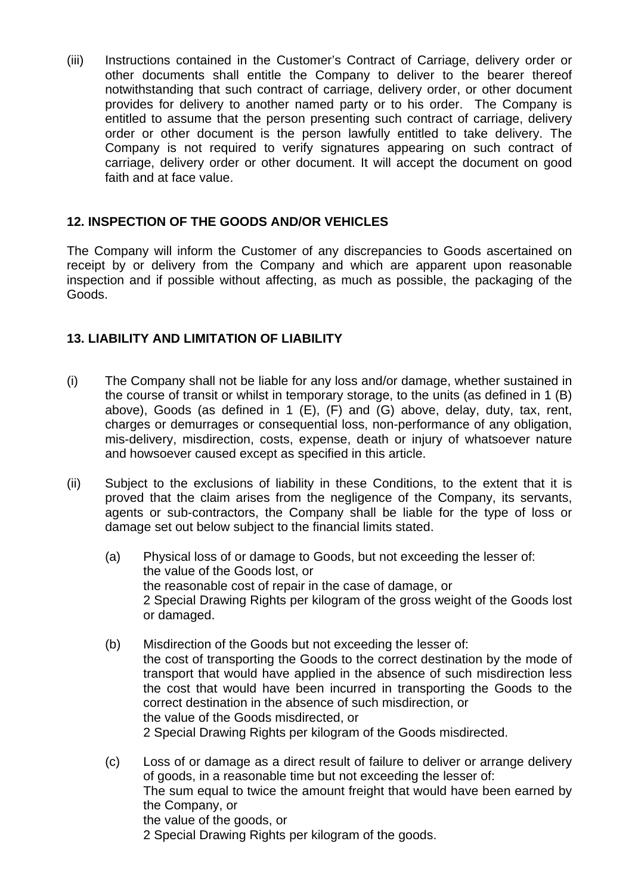(iii) Instructions contained in the Customer's Contract of Carriage, delivery order or other documents shall entitle the Company to deliver to the bearer thereof notwithstanding that such contract of carriage, delivery order, or other document provides for delivery to another named party or to his order. The Company is entitled to assume that the person presenting such contract of carriage, delivery order or other document is the person lawfully entitled to take delivery. The Company is not required to verify signatures appearing on such contract of carriage, delivery order or other document. It will accept the document on good faith and at face value.

## **12. INSPECTION OF THE GOODS AND/OR VEHICLES**

The Company will inform the Customer of any discrepancies to Goods ascertained on receipt by or delivery from the Company and which are apparent upon reasonable inspection and if possible without affecting, as much as possible, the packaging of the Goods.

## **13. LIABILITY AND LIMITATION OF LIABILITY**

- (i) The Company shall not be liable for any loss and/or damage, whether sustained in the course of transit or whilst in temporary storage, to the units (as defined in 1 (B) above), Goods (as defined in 1 (E), (F) and (G) above, delay, duty, tax, rent, charges or demurrages or consequential loss, non-performance of any obligation, mis-delivery, misdirection, costs, expense, death or injury of whatsoever nature and howsoever caused except as specified in this article.
- (ii) Subject to the exclusions of liability in these Conditions, to the extent that it is proved that the claim arises from the negligence of the Company, its servants, agents or sub-contractors, the Company shall be liable for the type of loss or damage set out below subject to the financial limits stated.
	- (a) Physical loss of or damage to Goods, but not exceeding the lesser of: the value of the Goods lost, or the reasonable cost of repair in the case of damage, or 2 Special Drawing Rights per kilogram of the gross weight of the Goods lost or damaged.
	- (b) Misdirection of the Goods but not exceeding the lesser of: the cost of transporting the Goods to the correct destination by the mode of transport that would have applied in the absence of such misdirection less the cost that would have been incurred in transporting the Goods to the correct destination in the absence of such misdirection, or the value of the Goods misdirected, or 2 Special Drawing Rights per kilogram of the Goods misdirected.
	- (c) Loss of or damage as a direct result of failure to deliver or arrange delivery of goods, in a reasonable time but not exceeding the lesser of: The sum equal to twice the amount freight that would have been earned by the Company, or the value of the goods, or 2 Special Drawing Rights per kilogram of the goods.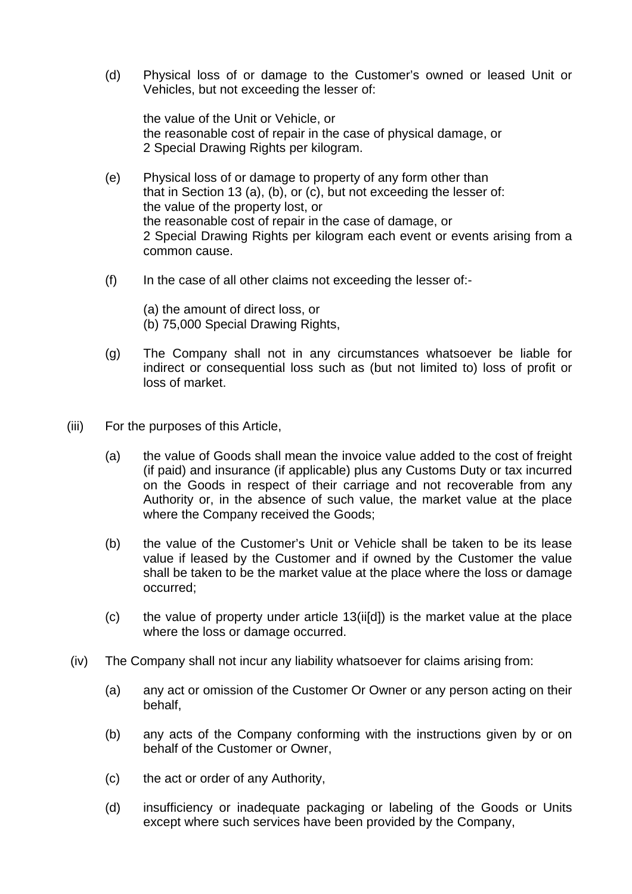(d) Physical loss of or damage to the Customer's owned or leased Unit or Vehicles, but not exceeding the lesser of:

the value of the Unit or Vehicle, or the reasonable cost of repair in the case of physical damage, or 2 Special Drawing Rights per kilogram.

- (e) Physical loss of or damage to property of any form other than that in Section 13 (a), (b), or (c), but not exceeding the lesser of: the value of the property lost, or the reasonable cost of repair in the case of damage, or 2 Special Drawing Rights per kilogram each event or events arising from a common cause.
- $(f)$  In the case of all other claims not exceeding the lesser of:-
	- (a) the amount of direct loss, or
	- (b) 75,000 Special Drawing Rights,
- (g) The Company shall not in any circumstances whatsoever be liable for indirect or consequential loss such as (but not limited to) loss of profit or loss of market.
- (iii) For the purposes of this Article,
	- (a) the value of Goods shall mean the invoice value added to the cost of freight (if paid) and insurance (if applicable) plus any Customs Duty or tax incurred on the Goods in respect of their carriage and not recoverable from any Authority or, in the absence of such value, the market value at the place where the Company received the Goods;
	- (b) the value of the Customer's Unit or Vehicle shall be taken to be its lease value if leased by the Customer and if owned by the Customer the value shall be taken to be the market value at the place where the loss or damage occurred;
	- (c) the value of property under article 13(ii[d]) is the market value at the place where the loss or damage occurred.
- (iv) The Company shall not incur any liability whatsoever for claims arising from:
	- (a) any act or omission of the Customer Or Owner or any person acting on their behalf,
	- (b) any acts of the Company conforming with the instructions given by or on behalf of the Customer or Owner,
	- (c) the act or order of any Authority,
	- (d) insufficiency or inadequate packaging or labeling of the Goods or Units except where such services have been provided by the Company,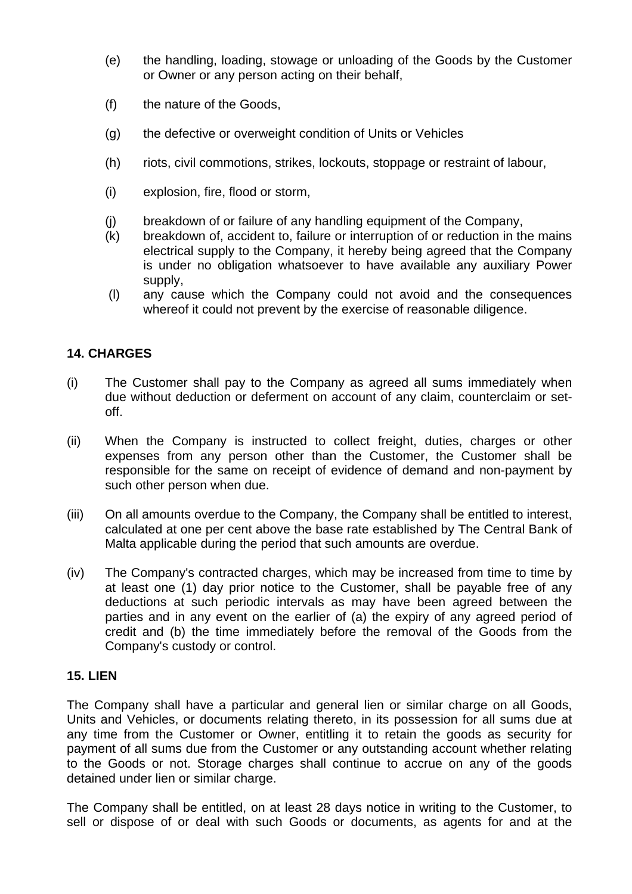- (e) the handling, loading, stowage or unloading of the Goods by the Customer or Owner or any person acting on their behalf,
- (f) the nature of the Goods,
- (g) the defective or overweight condition of Units or Vehicles
- (h) riots, civil commotions, strikes, lockouts, stoppage or restraint of labour,
- (i) explosion, fire, flood or storm,
- (j) breakdown of or failure of any handling equipment of the Company,
- (k) breakdown of, accident to, failure or interruption of or reduction in the mains electrical supply to the Company, it hereby being agreed that the Company is under no obligation whatsoever to have available any auxiliary Power supply,
- (l) any cause which the Company could not avoid and the consequences whereof it could not prevent by the exercise of reasonable diligence.

## **14. CHARGES**

- (i) The Customer shall pay to the Company as agreed all sums immediately when due without deduction or deferment on account of any claim, counterclaim or setoff.
- (ii) When the Company is instructed to collect freight, duties, charges or other expenses from any person other than the Customer, the Customer shall be responsible for the same on receipt of evidence of demand and non-payment by such other person when due.
- (iii) On all amounts overdue to the Company, the Company shall be entitled to interest, calculated at one per cent above the base rate established by The Central Bank of Malta applicable during the period that such amounts are overdue.
- (iv) The Company's contracted charges, which may be increased from time to time by at least one (1) day prior notice to the Customer, shall be payable free of any deductions at such periodic intervals as may have been agreed between the parties and in any event on the earlier of (a) the expiry of any agreed period of credit and (b) the time immediately before the removal of the Goods from the Company's custody or control.

### **15. LIEN**

The Company shall have a particular and general lien or similar charge on all Goods, Units and Vehicles, or documents relating thereto, in its possession for all sums due at any time from the Customer or Owner, entitling it to retain the goods as security for payment of all sums due from the Customer or any outstanding account whether relating to the Goods or not. Storage charges shall continue to accrue on any of the goods detained under lien or similar charge.

The Company shall be entitled, on at least 28 days notice in writing to the Customer, to sell or dispose of or deal with such Goods or documents, as agents for and at the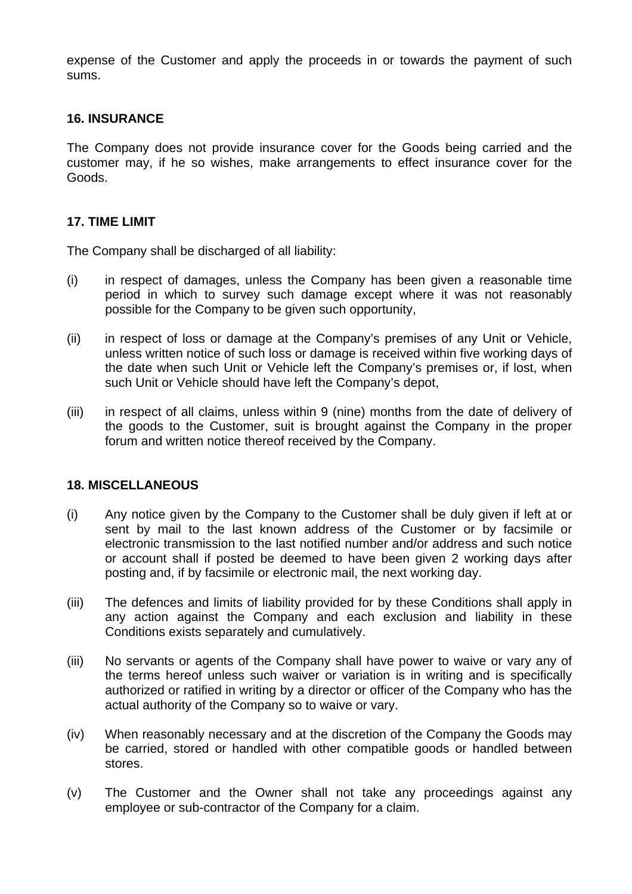expense of the Customer and apply the proceeds in or towards the payment of such sums.

#### **16. INSURANCE**

The Company does not provide insurance cover for the Goods being carried and the customer may, if he so wishes, make arrangements to effect insurance cover for the Goods.

#### **17. TIME LIMIT**

The Company shall be discharged of all liability:

- (i) in respect of damages, unless the Company has been given a reasonable time period in which to survey such damage except where it was not reasonably possible for the Company to be given such opportunity,
- (ii) in respect of loss or damage at the Company's premises of any Unit or Vehicle, unless written notice of such loss or damage is received within five working days of the date when such Unit or Vehicle left the Company's premises or, if lost, when such Unit or Vehicle should have left the Company's depot,
- (iii) in respect of all claims, unless within 9 (nine) months from the date of delivery of the goods to the Customer, suit is brought against the Company in the proper forum and written notice thereof received by the Company.

#### **18. MISCELLANEOUS**

- (i) Any notice given by the Company to the Customer shall be duly given if left at or sent by mail to the last known address of the Customer or by facsimile or electronic transmission to the last notified number and/or address and such notice or account shall if posted be deemed to have been given 2 working days after posting and, if by facsimile or electronic mail, the next working day.
- (iii) The defences and limits of liability provided for by these Conditions shall apply in any action against the Company and each exclusion and liability in these Conditions exists separately and cumulatively.
- (iii) No servants or agents of the Company shall have power to waive or vary any of the terms hereof unless such waiver or variation is in writing and is specifically authorized or ratified in writing by a director or officer of the Company who has the actual authority of the Company so to waive or vary.
- (iv) When reasonably necessary and at the discretion of the Company the Goods may be carried, stored or handled with other compatible goods or handled between stores.
- (v) The Customer and the Owner shall not take any proceedings against any employee or sub-contractor of the Company for a claim.